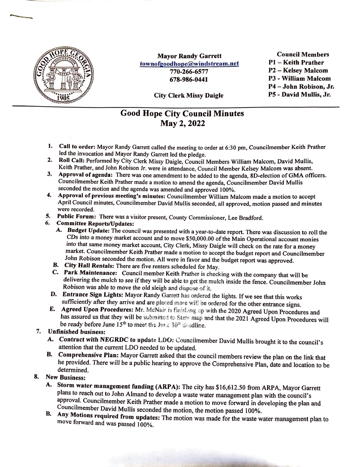

**Mayor Randy Garrett**  townofgoodhope@windstream.net 770-266-6577 **678-986-0441** 

Council Members Pl - Keith Prather P2 - Kelsey Malcom P3 - William Malcom P4 - John Robison, Jr. PS - David Mullis, Jr.

City Clerk Missy Daigle

## Good Hope City Council Minutes May 2, 2022

- **1. Call to order:** Mayor Randy Garrett called the meeting to order at 6:30 pm, Councilmember Keith Prather led the invocation and Mayor Randy Garrett led the pledge.
- 2. Roll Call: Performed by City Clerk Missy Daigle, Council Members William Malcom, David Mullis, Keith Prather, and John Robison Jr. were in attendance, Council Member Kelsey Malcom was absent.
- **3. Approval of agenda:** There was one amendment to be added to the agenda, SD-election of **GMA** officers. Councilmember Keith Prather made a motion to amend the agenda, Councilmember David Mullis seconded the motion and the agenda was amended and approved I 00%.
- **4. Approval of previous meeting's minutes:** Councilmember William Malcom made a motion to accept April Council minutes, Councilmember David Mullis seconded, all approved, motion passed and minutes were recorded.
- *5.* **Public Forum:** There was a visitor present, County Commissioner, Lee Bradford.
- **6. Committee Reports/Updates:** 
	- **A. Budget Update:** The council was presented with a year-to-date report. There was discussion to roll the CDs into a money market account and to move \$50,000.00 of the Main Operational account monies into that same money market account, City Clerk, Missy Daigle will check on the rate for a money market. Councilmember Keith Prather made a motion to accept the budget report and Councilmember John Robison seconded the motion. All were in favor and the budget report was approved.
	- *B.* **City Hall Rentals:** There are five renters scheduled for May.
	- **C. Park Maintenance:** Council member Keith Prather is checking with the company that will be delivering the mulch to see if they will be able to get the mulch inside the fence. Councilmember John Robison was able to move the old sleigh and dispose of it.
- **D.** Entrance Sign Lights: Mayor Randy Garrett has ordered the lights. If we see that this works sufficiently after they arrive and are placed more will be ordered for the other entrance signs.
- **E.** Agreed Upon Procedures: Mr. McNair is finishing up with the 2020 Agreed Upon Procedures and has assured us that they will be submitted to State asap and that the 2021 Agreed Upon Procedures will be ready before June 15<sup>th</sup> to meet the June 30<sup>th</sup> denalline.

## 7. **Unfinished business:**

- A. Contract with NEGRDC to update LDO: Councilmember David Mullis brought it to the council's attention that the current LDO needed to be updated.
- **B. Comprehensive Plan:** Mayor Garrett asked that the council members review the plan on the link that he provided. There will be a public hearing to approve the Comprehensive Plan, date and location to be determined.

## **8. New Business:**

- **A. Storm water management funding (ARPA):** The city has \$16,612.50 from ARPA, Mayor Garrett plans to reach out to John Almand to develop a waste water management plan with the council's approval. Councilmember Keith Prather made a motion to move forward in developing the plan and Councilmember David Mullis seconded the motion, the motion passed I 00%.
- **B. Any Motions required from updates:** The motion was made for the waste water management plan to move forward and was passed 100%.